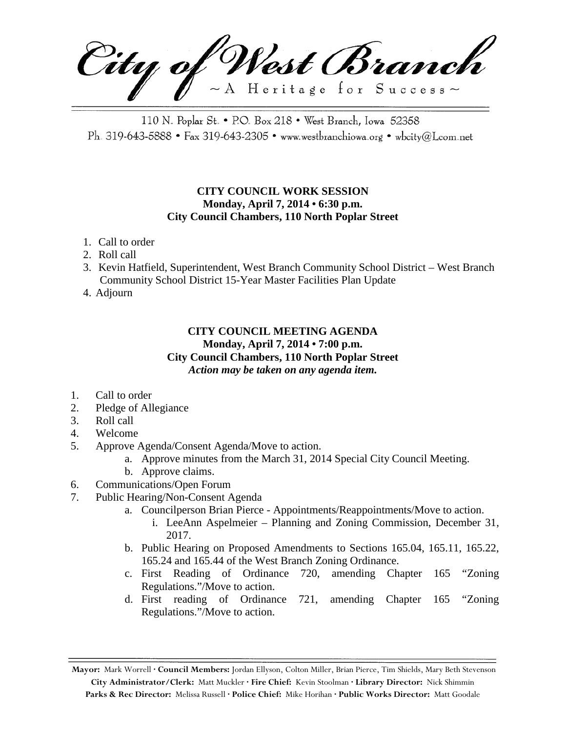City of West Branch  $\sim$  A Heritage for Success $\sim$ 

110 N. Poplar St. • P.O. Box 218 • West Branch, Iowa 52358 Ph. 319-643-5888 • Fax 319-643-2305 • www.westbranchiowa.org • wbcity@Lcom.net

## **CITY COUNCIL WORK SESSION Monday, April 7, 2014 • 6:30 p.m. City Council Chambers, 110 North Poplar Street**

- 1. Call to order
- 2. Roll call
- 3. Kevin Hatfield, Superintendent, West Branch Community School District West Branch Community School District 15-Year Master Facilities Plan Update
- 4. Adjourn

## **CITY COUNCIL MEETING AGENDA Monday, April 7, 2014 • 7:00 p.m. City Council Chambers, 110 North Poplar Street** *Action may be taken on any agenda item.*

- 1. Call to order
- 2. Pledge of Allegiance
- 3. Roll call
- 4. Welcome
- 5. Approve Agenda/Consent Agenda/Move to action.
	- a. Approve minutes from the March 31, 2014 Special City Council Meeting.
	- b. Approve claims.
- 6. Communications/Open Forum
- 7. Public Hearing/Non-Consent Agenda
	- a. Councilperson Brian Pierce Appointments/Reappointments/Move to action.
		- i. LeeAnn Aspelmeier Planning and Zoning Commission, December 31, 2017.
	- b. Public Hearing on Proposed Amendments to Sections 165.04, 165.11, 165.22, 165.24 and 165.44 of the West Branch Zoning Ordinance.
	- c. First Reading of Ordinance 720, amending Chapter 165 "Zoning Regulations."/Move to action.
	- d. First reading of Ordinance 721, amending Chapter 165 "Zoning Regulations."/Move to action.

**Mayor:** Mark Worrell **· Council Members:** Jordan Ellyson, Colton Miller, Brian Pierce, Tim Shields, Mary Beth Stevenson **City Administrator/Clerk:** Matt Muckler **· Fire Chief:** Kevin Stoolman **· Library Director:** Nick Shimmin **Parks & Rec Director:** Melissa Russell **· Police Chief:** Mike Horihan **· Public Works Director:** Matt Goodale